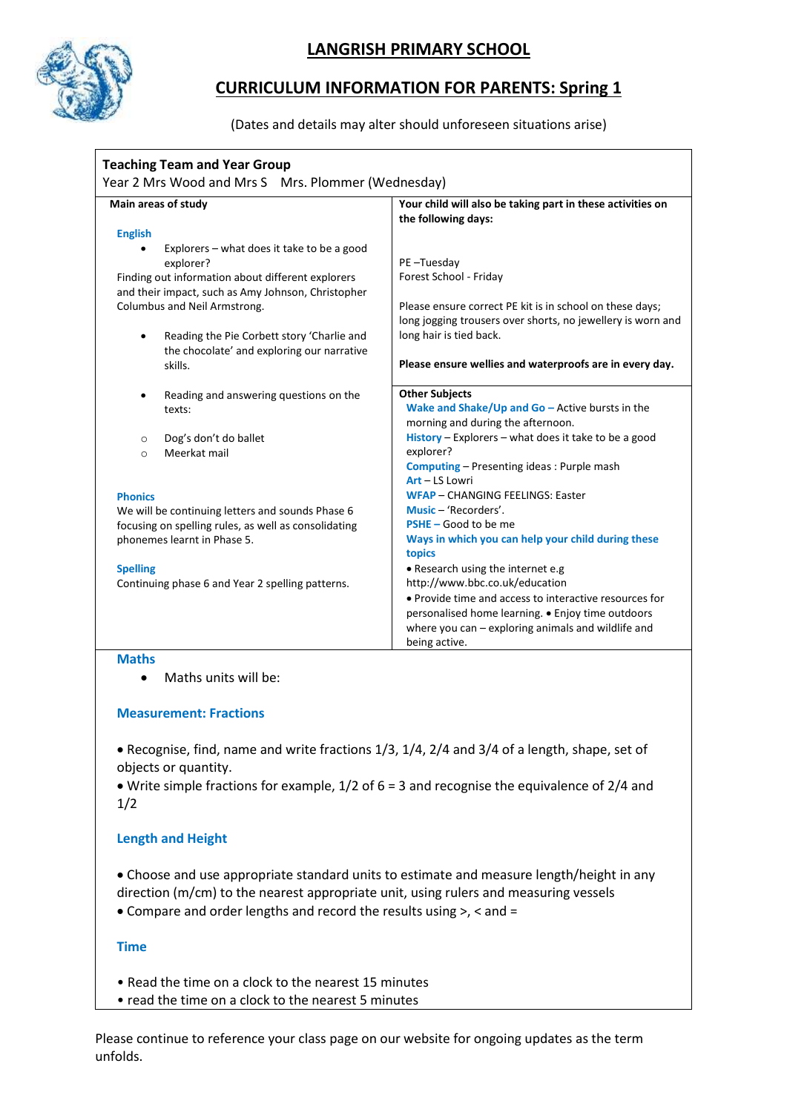

## **LANGRISH PRIMARY SCHOOL**

# **CURRICULUM INFORMATION FOR PARENTS: Spring 1**

### (Dates and details may alter should unforeseen situations arise)

| <b>Teaching Team and Year Group</b><br>Year 2 Mrs Wood and Mrs S Mrs. Plommer (Wednesday)               |                                                                                   |
|---------------------------------------------------------------------------------------------------------|-----------------------------------------------------------------------------------|
| Main areas of study                                                                                     | Your child will also be taking part in these activities on<br>the following days: |
| <b>English</b>                                                                                          |                                                                                   |
| Explorers - what does it take to be a good                                                              |                                                                                   |
| explorer?                                                                                               | PE-Tuesday                                                                        |
| Finding out information about different explorers<br>and their impact, such as Amy Johnson, Christopher | Forest School - Friday                                                            |
| Columbus and Neil Armstrong.                                                                            | Please ensure correct PE kit is in school on these days;                          |
|                                                                                                         | long jogging trousers over shorts, no jewellery is worn and                       |
| Reading the Pie Corbett story 'Charlie and<br>the chocolate' and exploring our narrative                | long hair is tied back.                                                           |
| skills.                                                                                                 | Please ensure wellies and waterproofs are in every day.                           |
| Reading and answering questions on the<br>$\bullet$                                                     | <b>Other Subjects</b>                                                             |
| texts:                                                                                                  | Wake and Shake/Up and $Go$ – Active bursts in the                                 |
|                                                                                                         | morning and during the afternoon.                                                 |
| Dog's don't do ballet<br>$\circ$                                                                        | History - Explorers - what does it take to be a good                              |
| Meerkat mail<br>$\circ$                                                                                 | explorer?                                                                         |
|                                                                                                         | <b>Computing - Presenting ideas: Purple mash</b>                                  |
|                                                                                                         | Art - LS Lowri                                                                    |
| <b>Phonics</b>                                                                                          | <b>WFAP - CHANGING FEELINGS: Easter</b>                                           |
| We will be continuing letters and sounds Phase 6                                                        | Music - 'Recorders'.                                                              |
| focusing on spelling rules, as well as consolidating                                                    | $PSHE - Good to be me$                                                            |
| phonemes learnt in Phase 5.                                                                             | Ways in which you can help your child during these<br>topics                      |
| <b>Spelling</b>                                                                                         | • Research using the internet e.g                                                 |
| Continuing phase 6 and Year 2 spelling patterns.                                                        | http://www.bbc.co.uk/education                                                    |
|                                                                                                         | • Provide time and access to interactive resources for                            |
|                                                                                                         | personalised home learning. . Enjoy time outdoors                                 |
|                                                                                                         | where you $can - exploring$ animals and wildlife and                              |
|                                                                                                         | being active.                                                                     |

### **Maths**

• Maths units will be:

### **Measurement: Fractions**

• Recognise, find, name and write fractions 1/3, 1/4, 2/4 and 3/4 of a length, shape, set of objects or quantity.

• Write simple fractions for example, 1/2 of 6 = 3 and recognise the equivalence of 2/4 and 1/2

## **Length and Height**

• Choose and use appropriate standard units to estimate and measure length/height in any direction (m/cm) to the nearest appropriate unit, using rulers and measuring vessels

• Compare and order lengths and record the results using >, < and =

## **Time**

- Read the time on a clock to the nearest 15 minutes
- read the time on a clock to the nearest 5 minutes

Please continue to reference your class page on our website for ongoing updates as the term unfolds.